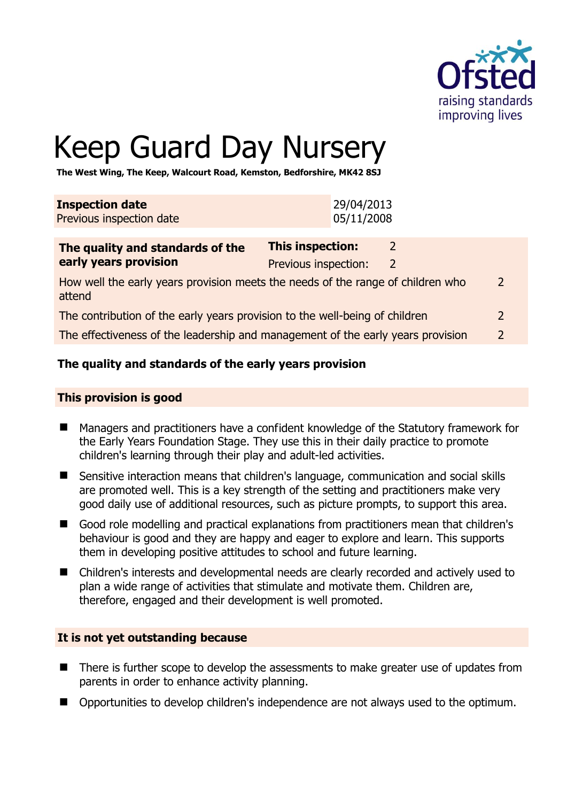

# Keep Guard Day Nursery

**The West Wing, The Keep, Walcourt Road, Kemston, Bedforshire, MK42 8SJ** 

| <b>Inspection date</b>   | 29/04/2013 |
|--------------------------|------------|
| Previous inspection date | 05/11/2008 |
|                          |            |

| The quality and standards of the                                                          | <b>This inspection:</b> |               |
|-------------------------------------------------------------------------------------------|-------------------------|---------------|
| early years provision                                                                     | Previous inspection:    |               |
| How well the early years provision meets the needs of the range of children who<br>attend |                         | 2             |
| The contribution of the early years provision to the well-being of children               |                         | 2             |
| The effectiveness of the leadership and management of the early years provision           |                         | $\mathcal{L}$ |

# **The quality and standards of the early years provision**

#### **This provision is good**

- Managers and practitioners have a confident knowledge of the Statutory framework for the Early Years Foundation Stage. They use this in their daily practice to promote children's learning through their play and adult-led activities.
- Sensitive interaction means that children's language, communication and social skills are promoted well. This is a key strength of the setting and practitioners make very good daily use of additional resources, such as picture prompts, to support this area.
- Good role modelling and practical explanations from practitioners mean that children's behaviour is good and they are happy and eager to explore and learn. This supports them in developing positive attitudes to school and future learning.
- Children's interests and developmental needs are clearly recorded and actively used to plan a wide range of activities that stimulate and motivate them. Children are, therefore, engaged and their development is well promoted.

# **It is not yet outstanding because**

- There is further scope to develop the assessments to make greater use of updates from parents in order to enhance activity planning.
- Opportunities to develop children's independence are not always used to the optimum.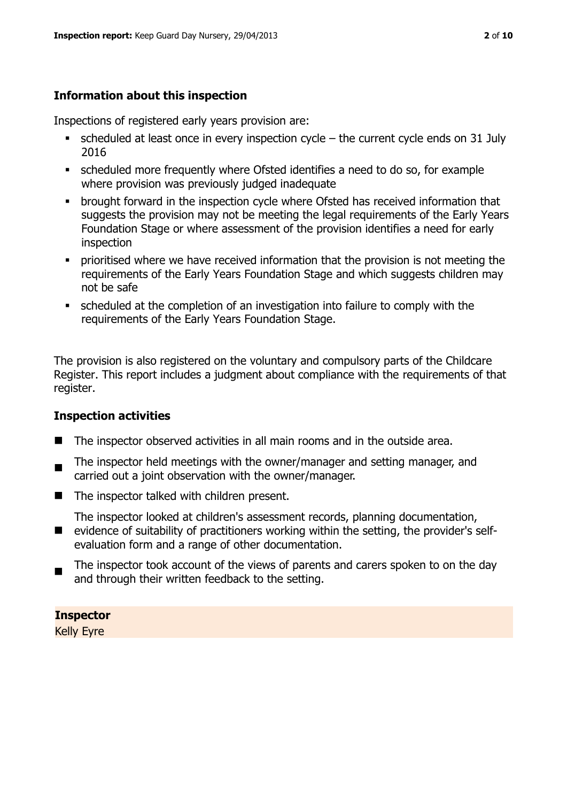# **Information about this inspection**

Inspections of registered early years provision are:

- scheduled at least once in every inspection cycle the current cycle ends on 31 July 2016
- scheduled more frequently where Ofsted identifies a need to do so, for example where provision was previously judged inadequate
- **•** brought forward in the inspection cycle where Ofsted has received information that suggests the provision may not be meeting the legal requirements of the Early Years Foundation Stage or where assessment of the provision identifies a need for early inspection
- **•** prioritised where we have received information that the provision is not meeting the requirements of the Early Years Foundation Stage and which suggests children may not be safe
- scheduled at the completion of an investigation into failure to comply with the requirements of the Early Years Foundation Stage.

The provision is also registered on the voluntary and compulsory parts of the Childcare Register. This report includes a judgment about compliance with the requirements of that register.

# **Inspection activities**

- The inspector observed activities in all main rooms and in the outside area.
- ш The inspector held meetings with the owner/manager and setting manager, and carried out a joint observation with the owner/manager.
- The inspector talked with children present.
- The inspector looked at children's assessment records, planning documentation,
- **E** evidence of suitability of practitioners working within the setting, the provider's selfevaluation form and a range of other documentation.
- The inspector took account of the views of parents and carers spoken to on the day and through their written feedback to the setting.

# **Inspector**

Kelly Eyre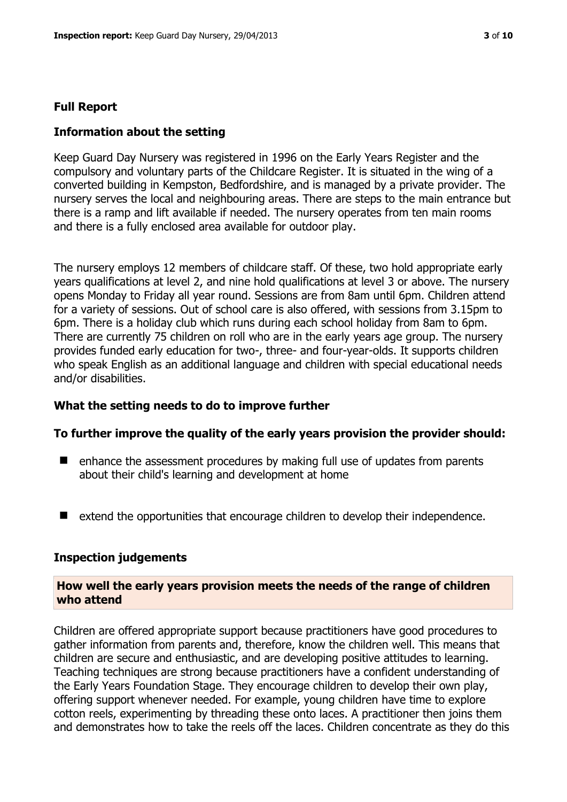#### **Full Report**

#### **Information about the setting**

Keep Guard Day Nursery was registered in 1996 on the Early Years Register and the compulsory and voluntary parts of the Childcare Register. It is situated in the wing of a converted building in Kempston, Bedfordshire, and is managed by a private provider. The nursery serves the local and neighbouring areas. There are steps to the main entrance but there is a ramp and lift available if needed. The nursery operates from ten main rooms and there is a fully enclosed area available for outdoor play.

The nursery employs 12 members of childcare staff. Of these, two hold appropriate early years qualifications at level 2, and nine hold qualifications at level 3 or above. The nursery opens Monday to Friday all year round. Sessions are from 8am until 6pm. Children attend for a variety of sessions. Out of school care is also offered, with sessions from 3.15pm to 6pm. There is a holiday club which runs during each school holiday from 8am to 6pm. There are currently 75 children on roll who are in the early years age group. The nursery provides funded early education for two-, three- and four-year-olds. It supports children who speak English as an additional language and children with special educational needs and/or disabilities.

#### **What the setting needs to do to improve further**

#### **To further improve the quality of the early years provision the provider should:**

- enhance the assessment procedures by making full use of updates from parents about their child's learning and development at home
- extend the opportunities that encourage children to develop their independence.

#### **Inspection judgements**

#### **How well the early years provision meets the needs of the range of children who attend**

Children are offered appropriate support because practitioners have good procedures to gather information from parents and, therefore, know the children well. This means that children are secure and enthusiastic, and are developing positive attitudes to learning. Teaching techniques are strong because practitioners have a confident understanding of the Early Years Foundation Stage. They encourage children to develop their own play, offering support whenever needed. For example, young children have time to explore cotton reels, experimenting by threading these onto laces. A practitioner then joins them and demonstrates how to take the reels off the laces. Children concentrate as they do this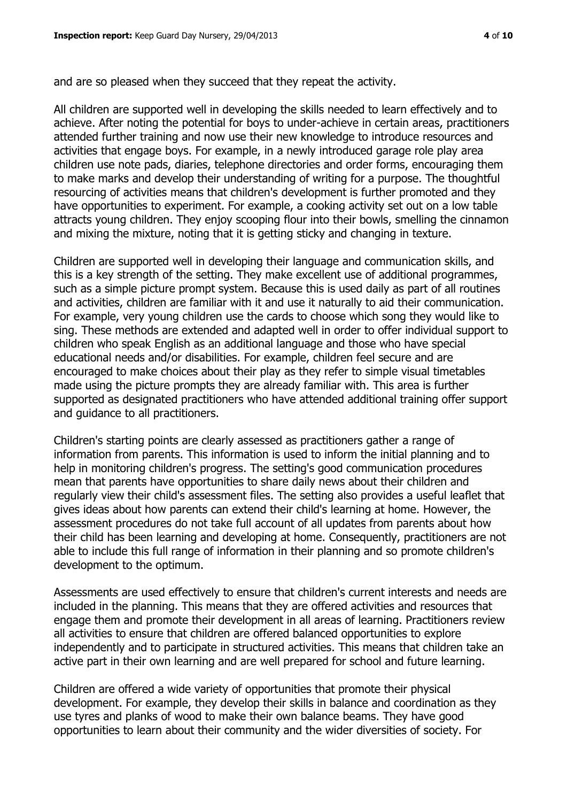and are so pleased when they succeed that they repeat the activity.

All children are supported well in developing the skills needed to learn effectively and to achieve. After noting the potential for boys to under-achieve in certain areas, practitioners attended further training and now use their new knowledge to introduce resources and activities that engage boys. For example, in a newly introduced garage role play area children use note pads, diaries, telephone directories and order forms, encouraging them to make marks and develop their understanding of writing for a purpose. The thoughtful resourcing of activities means that children's development is further promoted and they have opportunities to experiment. For example, a cooking activity set out on a low table attracts young children. They enjoy scooping flour into their bowls, smelling the cinnamon and mixing the mixture, noting that it is getting sticky and changing in texture.

Children are supported well in developing their language and communication skills, and this is a key strength of the setting. They make excellent use of additional programmes, such as a simple picture prompt system. Because this is used daily as part of all routines and activities, children are familiar with it and use it naturally to aid their communication. For example, very young children use the cards to choose which song they would like to sing. These methods are extended and adapted well in order to offer individual support to children who speak English as an additional language and those who have special educational needs and/or disabilities. For example, children feel secure and are encouraged to make choices about their play as they refer to simple visual timetables made using the picture prompts they are already familiar with. This area is further supported as designated practitioners who have attended additional training offer support and guidance to all practitioners.

Children's starting points are clearly assessed as practitioners gather a range of information from parents. This information is used to inform the initial planning and to help in monitoring children's progress. The setting's good communication procedures mean that parents have opportunities to share daily news about their children and regularly view their child's assessment files. The setting also provides a useful leaflet that gives ideas about how parents can extend their child's learning at home. However, the assessment procedures do not take full account of all updates from parents about how their child has been learning and developing at home. Consequently, practitioners are not able to include this full range of information in their planning and so promote children's development to the optimum.

Assessments are used effectively to ensure that children's current interests and needs are included in the planning. This means that they are offered activities and resources that engage them and promote their development in all areas of learning. Practitioners review all activities to ensure that children are offered balanced opportunities to explore independently and to participate in structured activities. This means that children take an active part in their own learning and are well prepared for school and future learning.

Children are offered a wide variety of opportunities that promote their physical development. For example, they develop their skills in balance and coordination as they use tyres and planks of wood to make their own balance beams. They have good opportunities to learn about their community and the wider diversities of society. For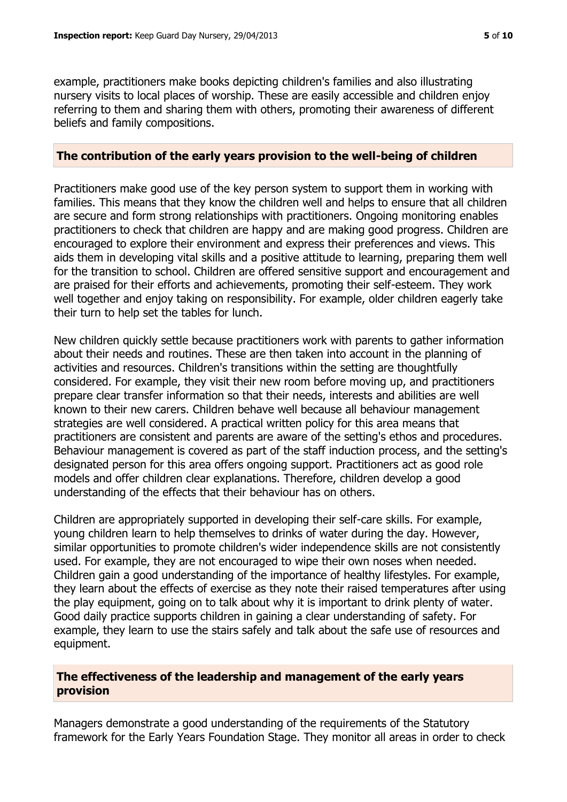example, practitioners make books depicting children's families and also illustrating nursery visits to local places of worship. These are easily accessible and children enjoy referring to them and sharing them with others, promoting their awareness of different beliefs and family compositions.

#### **The contribution of the early years provision to the well-being of children**

Practitioners make good use of the key person system to support them in working with families. This means that they know the children well and helps to ensure that all children are secure and form strong relationships with practitioners. Ongoing monitoring enables practitioners to check that children are happy and are making good progress. Children are encouraged to explore their environment and express their preferences and views. This aids them in developing vital skills and a positive attitude to learning, preparing them well for the transition to school. Children are offered sensitive support and encouragement and are praised for their efforts and achievements, promoting their self-esteem. They work well together and enjoy taking on responsibility. For example, older children eagerly take their turn to help set the tables for lunch.

New children quickly settle because practitioners work with parents to gather information about their needs and routines. These are then taken into account in the planning of activities and resources. Children's transitions within the setting are thoughtfully considered. For example, they visit their new room before moving up, and practitioners prepare clear transfer information so that their needs, interests and abilities are well known to their new carers. Children behave well because all behaviour management strategies are well considered. A practical written policy for this area means that practitioners are consistent and parents are aware of the setting's ethos and procedures. Behaviour management is covered as part of the staff induction process, and the setting's designated person for this area offers ongoing support. Practitioners act as good role models and offer children clear explanations. Therefore, children develop a good understanding of the effects that their behaviour has on others.

Children are appropriately supported in developing their self-care skills. For example, young children learn to help themselves to drinks of water during the day. However, similar opportunities to promote children's wider independence skills are not consistently used. For example, they are not encouraged to wipe their own noses when needed. Children gain a good understanding of the importance of healthy lifestyles. For example, they learn about the effects of exercise as they note their raised temperatures after using the play equipment, going on to talk about why it is important to drink plenty of water. Good daily practice supports children in gaining a clear understanding of safety. For example, they learn to use the stairs safely and talk about the safe use of resources and equipment.

# **The effectiveness of the leadership and management of the early years provision**

Managers demonstrate a good understanding of the requirements of the Statutory framework for the Early Years Foundation Stage. They monitor all areas in order to check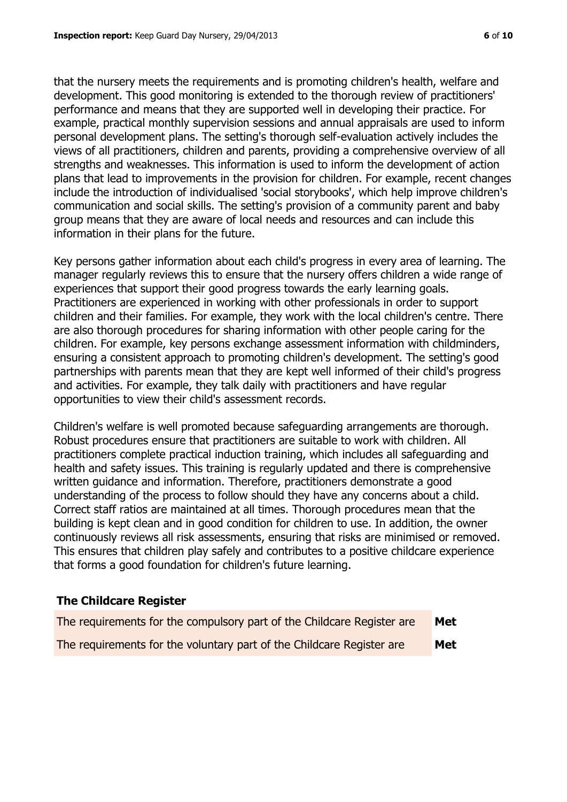that the nursery meets the requirements and is promoting children's health, welfare and development. This good monitoring is extended to the thorough review of practitioners' performance and means that they are supported well in developing their practice. For example, practical monthly supervision sessions and annual appraisals are used to inform personal development plans. The setting's thorough self-evaluation actively includes the views of all practitioners, children and parents, providing a comprehensive overview of all strengths and weaknesses. This information is used to inform the development of action plans that lead to improvements in the provision for children. For example, recent changes include the introduction of individualised 'social storybooks', which help improve children's communication and social skills. The setting's provision of a community parent and baby group means that they are aware of local needs and resources and can include this information in their plans for the future.

Key persons gather information about each child's progress in every area of learning. The manager regularly reviews this to ensure that the nursery offers children a wide range of experiences that support their good progress towards the early learning goals. Practitioners are experienced in working with other professionals in order to support children and their families. For example, they work with the local children's centre. There are also thorough procedures for sharing information with other people caring for the children. For example, key persons exchange assessment information with childminders, ensuring a consistent approach to promoting children's development. The setting's good partnerships with parents mean that they are kept well informed of their child's progress and activities. For example, they talk daily with practitioners and have regular opportunities to view their child's assessment records.

Children's welfare is well promoted because safeguarding arrangements are thorough. Robust procedures ensure that practitioners are suitable to work with children. All practitioners complete practical induction training, which includes all safeguarding and health and safety issues. This training is regularly updated and there is comprehensive written guidance and information. Therefore, practitioners demonstrate a good understanding of the process to follow should they have any concerns about a child. Correct staff ratios are maintained at all times. Thorough procedures mean that the building is kept clean and in good condition for children to use. In addition, the owner continuously reviews all risk assessments, ensuring that risks are minimised or removed. This ensures that children play safely and contributes to a positive childcare experience that forms a good foundation for children's future learning.

#### **The Childcare Register**

| The requirements for the compulsory part of the Childcare Register are | Met |
|------------------------------------------------------------------------|-----|
| The requirements for the voluntary part of the Childcare Register are  | Met |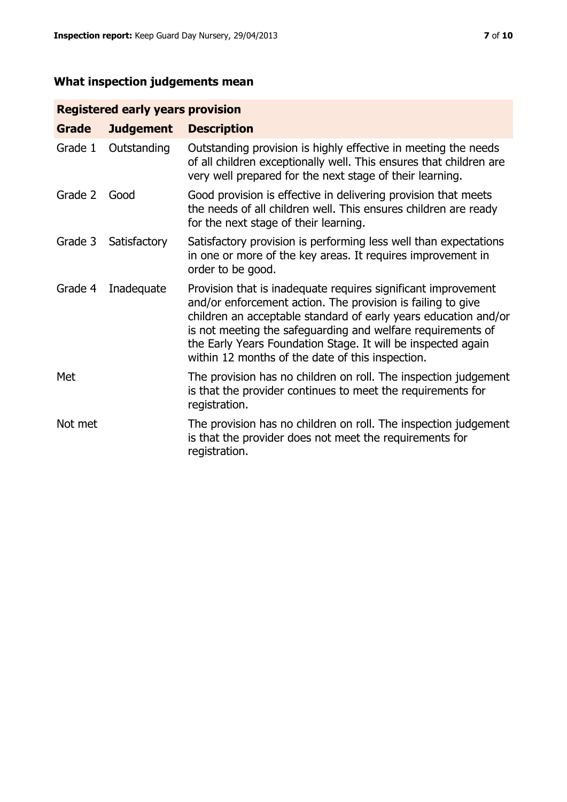# **What inspection judgements mean**

# **Registered early years provision**

| Grade   | <b>Judgement</b> | <b>Description</b>                                                                                                                                                                                                                                                                                                                                                                 |
|---------|------------------|------------------------------------------------------------------------------------------------------------------------------------------------------------------------------------------------------------------------------------------------------------------------------------------------------------------------------------------------------------------------------------|
| Grade 1 | Outstanding      | Outstanding provision is highly effective in meeting the needs<br>of all children exceptionally well. This ensures that children are<br>very well prepared for the next stage of their learning.                                                                                                                                                                                   |
| Grade 2 | Good             | Good provision is effective in delivering provision that meets<br>the needs of all children well. This ensures children are ready<br>for the next stage of their learning.                                                                                                                                                                                                         |
| Grade 3 | Satisfactory     | Satisfactory provision is performing less well than expectations<br>in one or more of the key areas. It requires improvement in<br>order to be good.                                                                                                                                                                                                                               |
| Grade 4 | Inadequate       | Provision that is inadequate requires significant improvement<br>and/or enforcement action. The provision is failing to give<br>children an acceptable standard of early years education and/or<br>is not meeting the safeguarding and welfare requirements of<br>the Early Years Foundation Stage. It will be inspected again<br>within 12 months of the date of this inspection. |
| Met     |                  | The provision has no children on roll. The inspection judgement<br>is that the provider continues to meet the requirements for<br>registration.                                                                                                                                                                                                                                    |
| Not met |                  | The provision has no children on roll. The inspection judgement<br>is that the provider does not meet the requirements for<br>registration.                                                                                                                                                                                                                                        |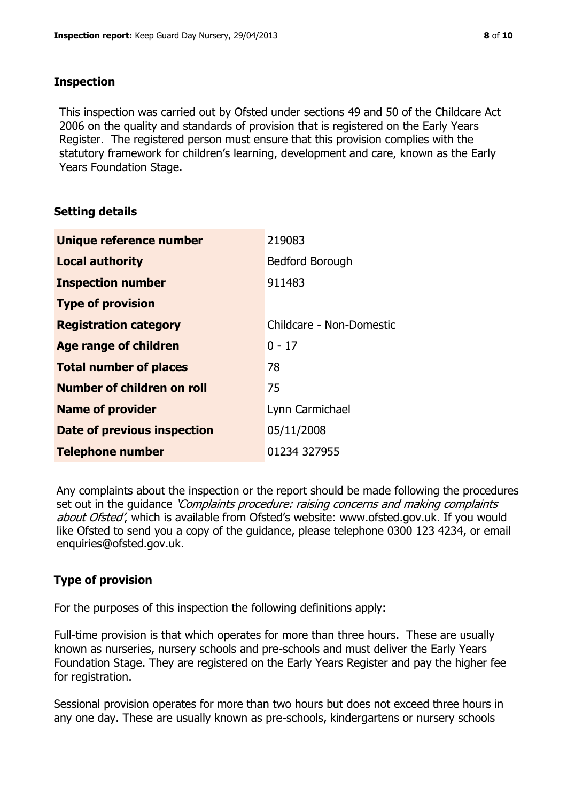#### **Inspection**

This inspection was carried out by Ofsted under sections 49 and 50 of the Childcare Act 2006 on the quality and standards of provision that is registered on the Early Years Register. The registered person must ensure that this provision complies with the statutory framework for children's learning, development and care, known as the Early Years Foundation Stage.

# **Setting details**

| Unique reference number            | 219083                   |
|------------------------------------|--------------------------|
| <b>Local authority</b>             | <b>Bedford Borough</b>   |
| <b>Inspection number</b>           | 911483                   |
| <b>Type of provision</b>           |                          |
| <b>Registration category</b>       | Childcare - Non-Domestic |
| Age range of children              | $0 - 17$                 |
| <b>Total number of places</b>      | 78                       |
| Number of children on roll         | 75                       |
| <b>Name of provider</b>            | Lynn Carmichael          |
| <b>Date of previous inspection</b> | 05/11/2008               |
| <b>Telephone number</b>            | 01234 327955             |

Any complaints about the inspection or the report should be made following the procedures set out in the guidance *'Complaints procedure: raising concerns and making complaints* about Ofsted', which is available from Ofsted's website: www.ofsted.gov.uk. If you would like Ofsted to send you a copy of the guidance, please telephone 0300 123 4234, or email enquiries@ofsted.gov.uk.

# **Type of provision**

For the purposes of this inspection the following definitions apply:

Full-time provision is that which operates for more than three hours. These are usually known as nurseries, nursery schools and pre-schools and must deliver the Early Years Foundation Stage. They are registered on the Early Years Register and pay the higher fee for registration.

Sessional provision operates for more than two hours but does not exceed three hours in any one day. These are usually known as pre-schools, kindergartens or nursery schools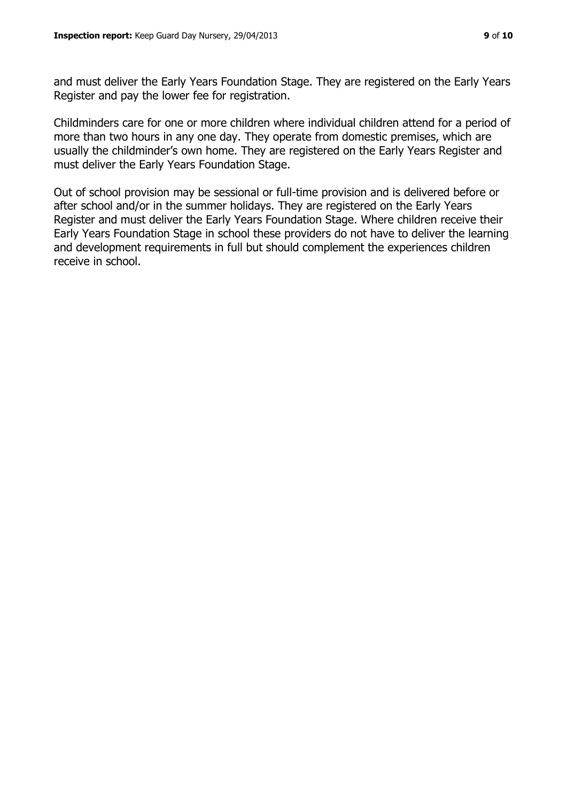and must deliver the Early Years Foundation Stage. They are registered on the Early Years Register and pay the lower fee for registration.

Childminders care for one or more children where individual children attend for a period of more than two hours in any one day. They operate from domestic premises, which are usually the childminder's own home. They are registered on the Early Years Register and must deliver the Early Years Foundation Stage.

Out of school provision may be sessional or full-time provision and is delivered before or after school and/or in the summer holidays. They are registered on the Early Years Register and must deliver the Early Years Foundation Stage. Where children receive their Early Years Foundation Stage in school these providers do not have to deliver the learning and development requirements in full but should complement the experiences children receive in school.